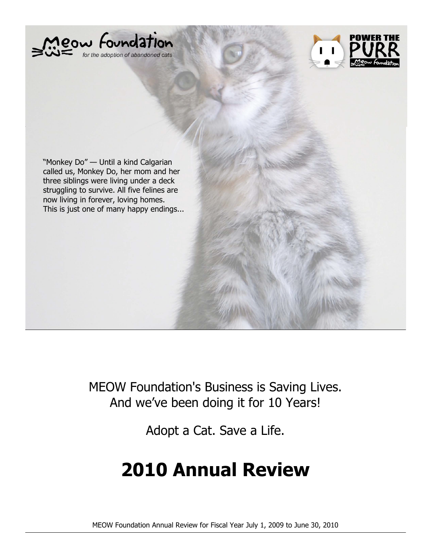



"Monkey Do" — Until a kind Calgarian called us, Monkey Do, her mom and her three siblings were living under a deck struggling to survive. All five felines are now living in forever, loving homes. This is just one of many happy endings...

> MEOW Foundation's Business is Saving Lives. And we've been doing it for 10 Years!

> > Adopt a Cat. Save a Life.

# **2010 Annual Review**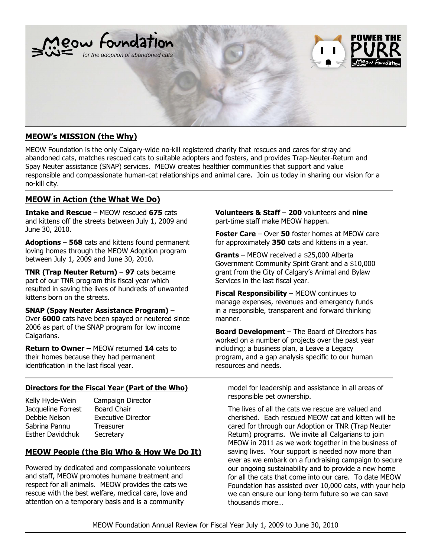

# **MEOW's MISSION (the Why)**

MEOW Foundation is the only Calgary-wide no-kill registered charity that rescues and cares for stray and abandoned cats, matches rescued cats to suitable adopters and fosters, and provides Trap-Neuter-Return and Spay Neuter assistance (SNAP) services. MEOW creates healthier communities that support and value responsible and compassionate human-cat relationships and animal care. Join us today in sharing our vision for a no-kill city.

# **MEOW in Action (the What We Do)**

**Intake and Rescue** – MEOW rescued **675** cats and kittens off the streets between July 1, 2009 and June 30, 2010.

**Adoptions** – **568** cats and kittens found permanent loving homes through the MEOW Adoption program between July 1, 2009 and June 30, 2010.

**TNR (Trap Neuter Return)** – **97** cats became part of our TNR program this fiscal year which resulted in saving the lives of hundreds of unwanted kittens born on the streets.

#### **SNAP (Spay Neuter Assistance Program)** –

Over **6000** cats have been spayed or neutered since 2006 as part of the SNAP program for low income Calgarians.

**Return to Owner –** MEOW returned **14** cats to their homes because they had permanent identification in the last fiscal year.

# **Directors for the Fiscal Year (Part of the Who)**

- Jacqueline Forrest Board Chair Debbie Nelson Executive Director Sabrina Pannu Treasurer Esther Davidchuk Secretary
- Kelly Hyde-Wein Campaign Director

# **MEOW People (the Big Who & How We Do It)**

Powered by dedicated and compassionate volunteers and staff, MEOW promotes humane treatment and respect for all animals. MEOW provides the cats we rescue with the best welfare, medical care, love and attention on a temporary basis and is a community

**Volunteers & Staff** – **200** volunteers and **nine** part-time staff make MEOW happen.

**Foster Care** – Over **50** foster homes at MEOW care for approximately **350** cats and kittens in a year.

**Grants** – MEOW received a \$25,000 Alberta Government Community Spirit Grant and a \$10,000 grant from the City of Calgary's Animal and Bylaw Services in the last fiscal year.

**Fiscal Responsibility** – MEOW continues to manage expenses, revenues and emergency funds in a responsible, transparent and forward thinking manner.

**Board Development** – The Board of Directors has worked on a number of projects over the past year including; a business plan, a Leave a Legacy program, and a gap analysis specific to our human resources and needs.

model for leadership and assistance in all areas of responsible pet ownership.

The lives of all the cats we rescue are valued and cherished. Each rescued MEOW cat and kitten will be cared for through our Adoption or TNR (Trap Neuter Return) programs. We invite all Calgarians to join MEOW in 2011 as we work together in the business of saving lives. Your support is needed now more than ever as we embark on a fundraising campaign to secure our ongoing sustainability and to provide a new home for all the cats that come into our care. To date MEOW Foundation has assisted over 10,000 cats, with your help we can ensure our long-term future so we can save thousands more…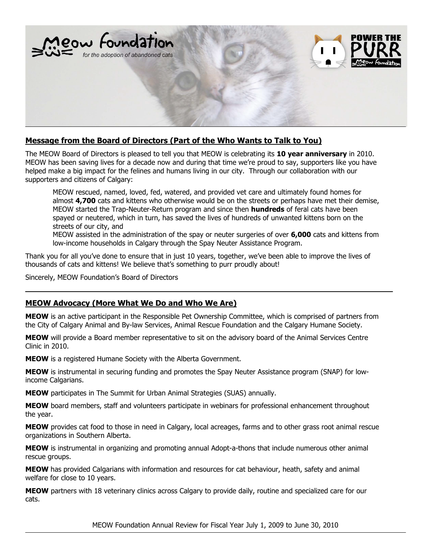

# **Message from the Board of Directors (Part of the Who Wants to Talk to You)**

The MEOW Board of Directors is pleased to tell you that MEOW is celebrating its **10 year anniversary** in 2010. MEOW has been saving lives for a decade now and during that time we're proud to say, supporters like you have helped make a big impact for the felines and humans living in our city. Through our collaboration with our supporters and citizens of Calgary:

 MEOW rescued, named, loved, fed, watered, and provided vet care and ultimately found homes for almost **4,700** cats and kittens who otherwise would be on the streets or perhaps have met their demise, MEOW started the Trap-Neuter-Return program and since then **hundreds** of feral cats have been spayed or neutered, which in turn, has saved the lives of hundreds of unwanted kittens born on the streets of our city, and

 MEOW assisted in the administration of the spay or neuter surgeries of over **6,000** cats and kittens from low-income households in Calgary through the Spay Neuter Assistance Program.

Thank you for all you've done to ensure that in just 10 years, together, we've been able to improve the lives of thousands of cats and kittens! We believe that's something to purr proudly about!

Sincerely, MEOW Foundation's Board of Directors

# **MEOW Advocacy (More What We Do and Who We Are)**

**MEOW** is an active participant in the Responsible Pet Ownership Committee, which is comprised of partners from the City of Calgary Animal and By-law Services, Animal Rescue Foundation and the Calgary Humane Society.

**MEOW** will provide a Board member representative to sit on the advisory board of the Animal Services Centre Clinic in 2010.

**MEOW** is a registered Humane Society with the Alberta Government.

**MEOW** is instrumental in securing funding and promotes the Spay Neuter Assistance program (SNAP) for lowincome Calgarians.

**MEOW** participates in The Summit for Urban Animal Strategies (SUAS) annually.

**MEOW** board members, staff and volunteers participate in webinars for professional enhancement throughout the year.

**MEOW** provides cat food to those in need in Calgary, local acreages, farms and to other grass root animal rescue organizations in Southern Alberta.

**MEOW** is instrumental in organizing and promoting annual Adopt-a-thons that include numerous other animal rescue groups.

**MEOW** has provided Calgarians with information and resources for cat behaviour, heath, safety and animal welfare for close to 10 years.

**MEOW** partners with 18 veterinary clinics across Calgary to provide daily, routine and specialized care for our cats.

MEOW Foundation Annual Review for Fiscal Year July 1, 2009 to June 30, 2010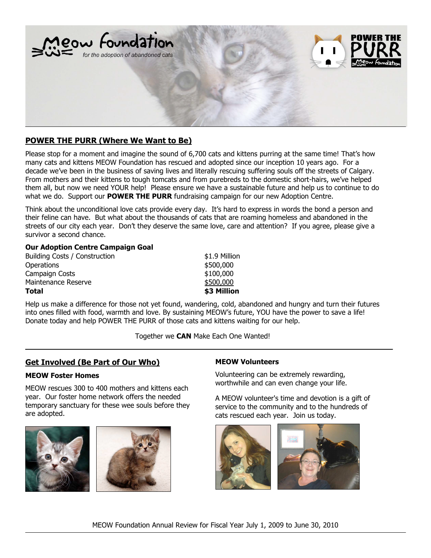

# **POWER THE PURR (Where We Want to Be)**

Please stop for a moment and imagine the sound of 6,700 cats and kittens purring at the same time! That's how many cats and kittens MEOW Foundation has rescued and adopted since our inception 10 years ago. For a decade we've been in the business of saving lives and literally rescuing suffering souls off the streets of Calgary. From mothers and their kittens to tough tomcats and from purebreds to the domestic short-hairs, we've helped them all, but now we need YOUR help! Please ensure we have a sustainable future and help us to continue to do what we do. Support our **POWER THE PURR** fundraising campaign for our new Adoption Centre.

Think about the unconditional love cats provide every day. It's hard to express in words the bond a person and their feline can have. But what about the thousands of cats that are roaming homeless and abandoned in the streets of our city each year. Don't they deserve the same love, care and attention? If you agree, please give a survivor a second chance.

#### **Our Adoption Centre Campaign Goal**

| <b>Total</b>                  | \$3 Million   |
|-------------------------------|---------------|
| Maintenance Reserve           | \$500,000     |
| Campaign Costs                | \$100,000     |
| Operations                    | \$500,000     |
| Building Costs / Construction | \$1.9 Million |

Help us make a difference for those not yet found, wandering, cold, abandoned and hungry and turn their futures into ones filled with food, warmth and love. By sustaining MEOW's future, YOU have the power to save a life! Donate today and help POWER THE PURR of those cats and kittens waiting for our help.

Together we **CAN** Make Each One Wanted!

# **Get Involved (Be Part of Our Who)**

#### **MEOW Foster Homes**

MEOW rescues 300 to 400 mothers and kittens each year. Our foster home network offers the needed temporary sanctuary for these wee souls before they are adopted.





#### **MEOW Volunteers**

Volunteering can be extremely rewarding, worthwhile and can even change your life.

A MEOW volunteer's time and devotion is a gift of service to the community and to the hundreds of cats rescued each year. Join us today.